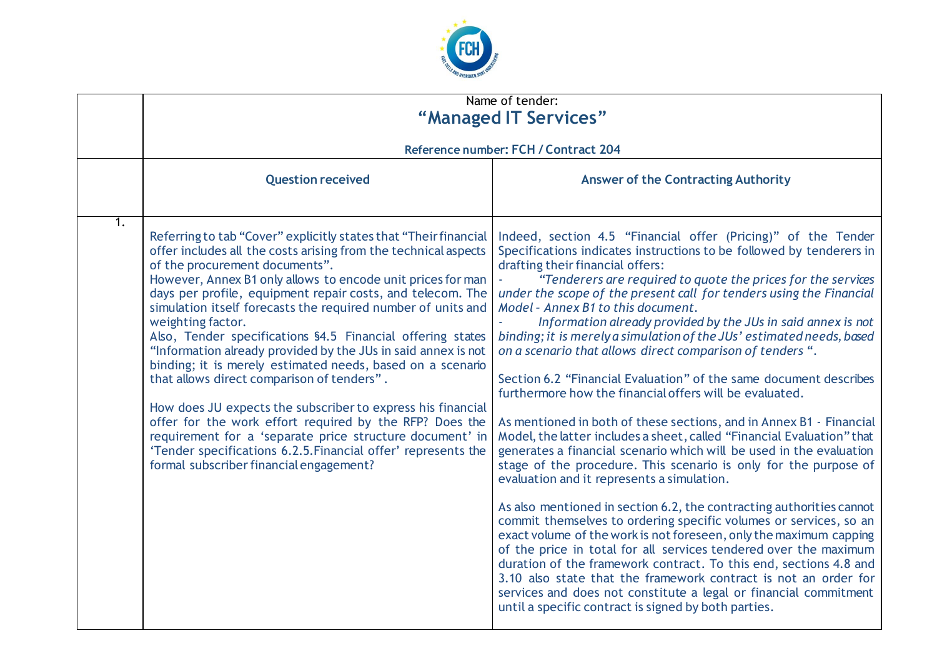

|    |                                                                                                                                                                                                                                                                                                                                                                                                                                                                                                                                                                                                                                                                                                                                                                                                                                                                                                                                      | Name of tender:<br>"Managed IT Services"                                                                                                                                                                                                                                                                                                                                                                                                                                                                                                                                                                                                                                                                                                                                                                                                                                                                                                                                                                                                                                                                                                                                                                                                                                                                                                                                                                                                                                                                                                                                                          |
|----|--------------------------------------------------------------------------------------------------------------------------------------------------------------------------------------------------------------------------------------------------------------------------------------------------------------------------------------------------------------------------------------------------------------------------------------------------------------------------------------------------------------------------------------------------------------------------------------------------------------------------------------------------------------------------------------------------------------------------------------------------------------------------------------------------------------------------------------------------------------------------------------------------------------------------------------|---------------------------------------------------------------------------------------------------------------------------------------------------------------------------------------------------------------------------------------------------------------------------------------------------------------------------------------------------------------------------------------------------------------------------------------------------------------------------------------------------------------------------------------------------------------------------------------------------------------------------------------------------------------------------------------------------------------------------------------------------------------------------------------------------------------------------------------------------------------------------------------------------------------------------------------------------------------------------------------------------------------------------------------------------------------------------------------------------------------------------------------------------------------------------------------------------------------------------------------------------------------------------------------------------------------------------------------------------------------------------------------------------------------------------------------------------------------------------------------------------------------------------------------------------------------------------------------------------|
|    |                                                                                                                                                                                                                                                                                                                                                                                                                                                                                                                                                                                                                                                                                                                                                                                                                                                                                                                                      | Reference number: FCH / Contract 204                                                                                                                                                                                                                                                                                                                                                                                                                                                                                                                                                                                                                                                                                                                                                                                                                                                                                                                                                                                                                                                                                                                                                                                                                                                                                                                                                                                                                                                                                                                                                              |
|    | <b>Question received</b>                                                                                                                                                                                                                                                                                                                                                                                                                                                                                                                                                                                                                                                                                                                                                                                                                                                                                                             | <b>Answer of the Contracting Authority</b>                                                                                                                                                                                                                                                                                                                                                                                                                                                                                                                                                                                                                                                                                                                                                                                                                                                                                                                                                                                                                                                                                                                                                                                                                                                                                                                                                                                                                                                                                                                                                        |
| 1. | Referring to tab "Cover" explicitly states that "Their financial<br>offer includes all the costs arising from the technical aspects<br>of the procurement documents".<br>However, Annex B1 only allows to encode unit prices for man<br>days per profile, equipment repair costs, and telecom. The<br>simulation itself forecasts the required number of units and<br>weighting factor.<br>Also, Tender specifications §4.5 Financial offering states<br>"Information already provided by the JUs in said annex is not<br>binding; it is merely estimated needs, based on a scenario<br>that allows direct comparison of tenders".<br>How does JU expects the subscriber to express his financial<br>offer for the work effort required by the RFP? Does the<br>requirement for a 'separate price structure document' in<br>'Tender specifications 6.2.5. Financial offer' represents the<br>formal subscriber financial engagement? | Indeed, section 4.5 "Financial offer (Pricing)" of the Tender<br>Specifications indicates instructions to be followed by tenderers in<br>drafting their financial offers:<br>"Tenderers are required to quote the prices for the services<br>under the scope of the present call for tenders using the Financial<br>Model - Annex B1 to this document.<br>Information already provided by the JUs in said annex is not<br>binding; it is merely a simulation of the JUs' estimated needs, based<br>on a scenario that allows direct comparison of tenders ".<br>Section 6.2 "Financial Evaluation" of the same document describes<br>furthermore how the financial offers will be evaluated.<br>As mentioned in both of these sections, and in Annex B1 - Financial<br>Model, the latter includes a sheet, called "Financial Evaluation" that<br>generates a financial scenario which will be used in the evaluation<br>stage of the procedure. This scenario is only for the purpose of<br>evaluation and it represents a simulation.<br>As also mentioned in section 6.2, the contracting authorities cannot<br>commit themselves to ordering specific volumes or services, so an<br>exact volume of the work is not foreseen, only the maximum capping<br>of the price in total for all services tendered over the maximum<br>duration of the framework contract. To this end, sections 4.8 and<br>3.10 also state that the framework contract is not an order for<br>services and does not constitute a legal or financial commitment<br>until a specific contract is signed by both parties. |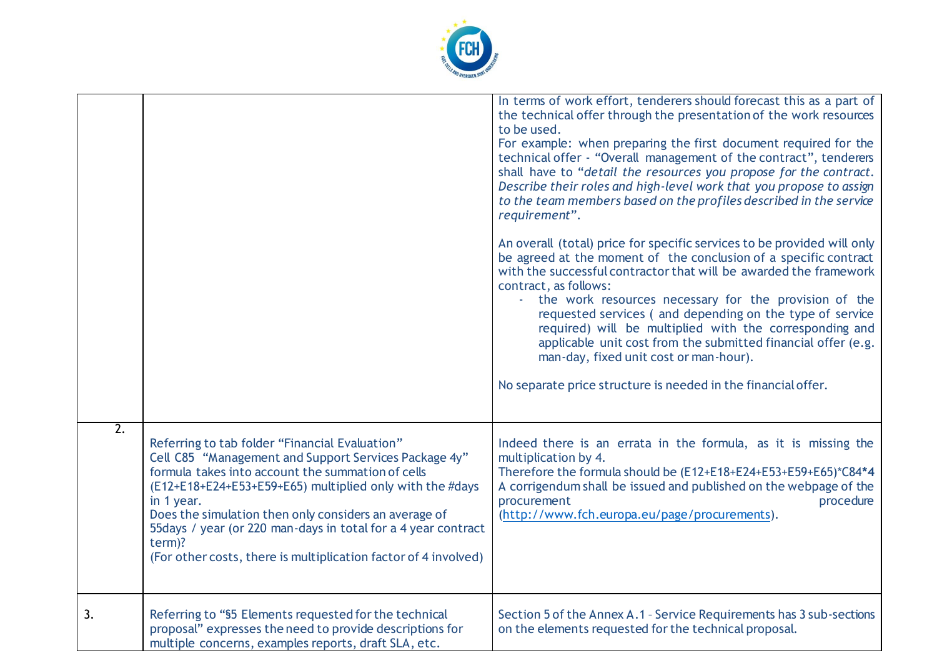

|                  |                                                                                                                                                                                                                                                                                                                                                                                                                                                | In terms of work effort, tenderers should forecast this as a part of<br>the technical offer through the presentation of the work resources<br>to be used.<br>For example: when preparing the first document required for the<br>technical offer - "Overall management of the contract", tenderers<br>shall have to "detail the resources you propose for the contract.<br>Describe their roles and high-level work that you propose to assign<br>to the team members based on the profiles described in the service<br>requirement".<br>An overall (total) price for specific services to be provided will only<br>be agreed at the moment of the conclusion of a specific contract<br>with the successful contractor that will be awarded the framework<br>contract, as follows:<br>the work resources necessary for the provision of the<br>requested services (and depending on the type of service<br>required) will be multiplied with the corresponding and<br>applicable unit cost from the submitted financial offer (e.g.<br>man-day, fixed unit cost or man-hour).<br>No separate price structure is needed in the financial offer. |
|------------------|------------------------------------------------------------------------------------------------------------------------------------------------------------------------------------------------------------------------------------------------------------------------------------------------------------------------------------------------------------------------------------------------------------------------------------------------|-----------------------------------------------------------------------------------------------------------------------------------------------------------------------------------------------------------------------------------------------------------------------------------------------------------------------------------------------------------------------------------------------------------------------------------------------------------------------------------------------------------------------------------------------------------------------------------------------------------------------------------------------------------------------------------------------------------------------------------------------------------------------------------------------------------------------------------------------------------------------------------------------------------------------------------------------------------------------------------------------------------------------------------------------------------------------------------------------------------------------------------------------|
| $\overline{2}$ . | Referring to tab folder "Financial Evaluation"<br>Cell C85 "Management and Support Services Package 4y"<br>formula takes into account the summation of cells<br>(E12+E18+E24+E53+E59+E65) multiplied only with the #days<br>in 1 year.<br>Does the simulation then only considers an average of<br>55 days / year (or 220 man-days in total for a 4 year contract<br>term)?<br>(For other costs, there is multiplication factor of 4 involved) | Indeed there is an errata in the formula, as it is missing the<br>multiplication by 4.<br>Therefore the formula should be (E12+E18+E24+E53+E59+E65)*C84*4<br>A corrigendum shall be issued and published on the webpage of the<br>procurement<br>procedure<br>(http://www.fch.europa.eu/page/procurements).                                                                                                                                                                                                                                                                                                                                                                                                                                                                                                                                                                                                                                                                                                                                                                                                                                   |
| 3.               | Referring to "\$5 Elements requested for the technical<br>proposal" expresses the need to provide descriptions for<br>multiple concerns, examples reports, draft SLA, etc.                                                                                                                                                                                                                                                                     | Section 5 of the Annex A.1 - Service Requirements has 3 sub-sections<br>on the elements requested for the technical proposal.                                                                                                                                                                                                                                                                                                                                                                                                                                                                                                                                                                                                                                                                                                                                                                                                                                                                                                                                                                                                                 |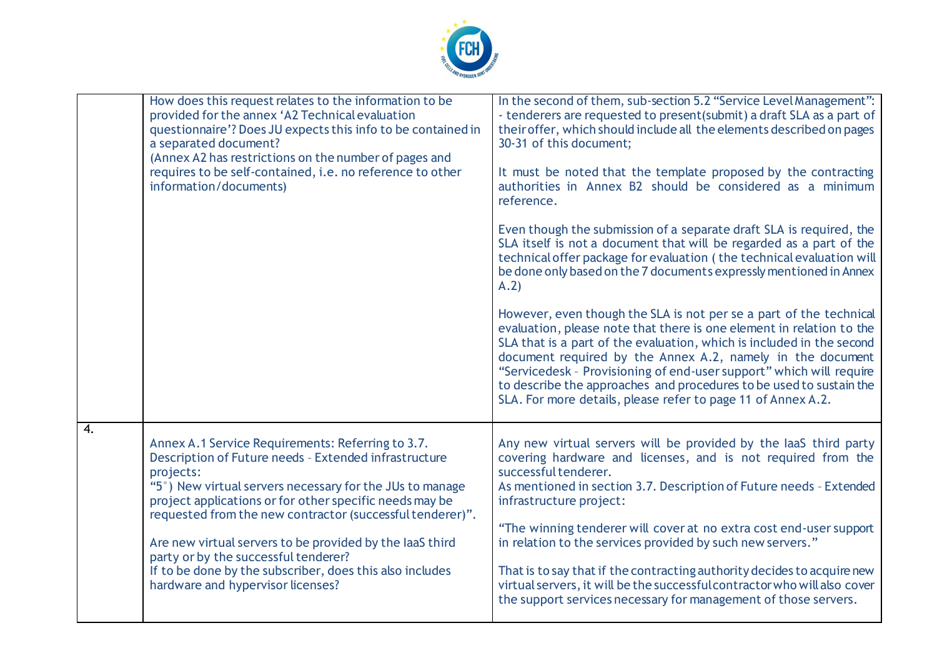

|    | How does this request relates to the information to be<br>provided for the annex 'A2 Technical evaluation<br>questionnaire'? Does JU expects this info to be contained in<br>a separated document?<br>(Annex A2 has restrictions on the number of pages and<br>requires to be self-contained, i.e. no reference to other<br>information/documents)                                                                                                                                                               | In the second of them, sub-section 5.2 "Service Level Management":<br>- tenderers are requested to present(submit) a draft SLA as a part of<br>their offer, which should include all the elements described on pages<br>30-31 of this document;<br>It must be noted that the template proposed by the contracting<br>authorities in Annex B2 should be considered as a minimum<br>reference.<br>Even though the submission of a separate draft SLA is required, the<br>SLA itself is not a document that will be regarded as a part of the<br>technical offer package for evaluation (the technical evaluation will<br>be done only based on the 7 documents expressly mentioned in Annex<br>A.2)<br>However, even though the SLA is not per se a part of the technical<br>evaluation, please note that there is one element in relation to the<br>SLA that is a part of the evaluation, which is included in the second<br>document required by the Annex A.2, namely in the document<br>"Servicedesk - Provisioning of end-user support" which will require |
|----|------------------------------------------------------------------------------------------------------------------------------------------------------------------------------------------------------------------------------------------------------------------------------------------------------------------------------------------------------------------------------------------------------------------------------------------------------------------------------------------------------------------|---------------------------------------------------------------------------------------------------------------------------------------------------------------------------------------------------------------------------------------------------------------------------------------------------------------------------------------------------------------------------------------------------------------------------------------------------------------------------------------------------------------------------------------------------------------------------------------------------------------------------------------------------------------------------------------------------------------------------------------------------------------------------------------------------------------------------------------------------------------------------------------------------------------------------------------------------------------------------------------------------------------------------------------------------------------|
|    |                                                                                                                                                                                                                                                                                                                                                                                                                                                                                                                  | to describe the approaches and procedures to be used to sustain the<br>SLA. For more details, please refer to page 11 of Annex A.2.                                                                                                                                                                                                                                                                                                                                                                                                                                                                                                                                                                                                                                                                                                                                                                                                                                                                                                                           |
| 4. | Annex A.1 Service Requirements: Referring to 3.7.<br>Description of Future needs - Extended infrastructure<br>projects:<br>"5°) New virtual servers necessary for the JUs to manage<br>project applications or for other specific needs may be<br>requested from the new contractor (successful tenderer)".<br>Are new virtual servers to be provided by the laaS third<br>party or by the successful tenderer?<br>If to be done by the subscriber, does this also includes<br>hardware and hypervisor licenses? | Any new virtual servers will be provided by the laaS third party<br>covering hardware and licenses, and is not required from the<br>successful tenderer.<br>As mentioned in section 3.7. Description of Future needs - Extended<br>infrastructure project:<br>"The winning tenderer will cover at no extra cost end-user support<br>in relation to the services provided by such new servers."<br>That is to say that if the contracting authority decides to acquire new<br>virtual servers, it will be the successful contractor who will also cover<br>the support services necessary for management of those servers.                                                                                                                                                                                                                                                                                                                                                                                                                                     |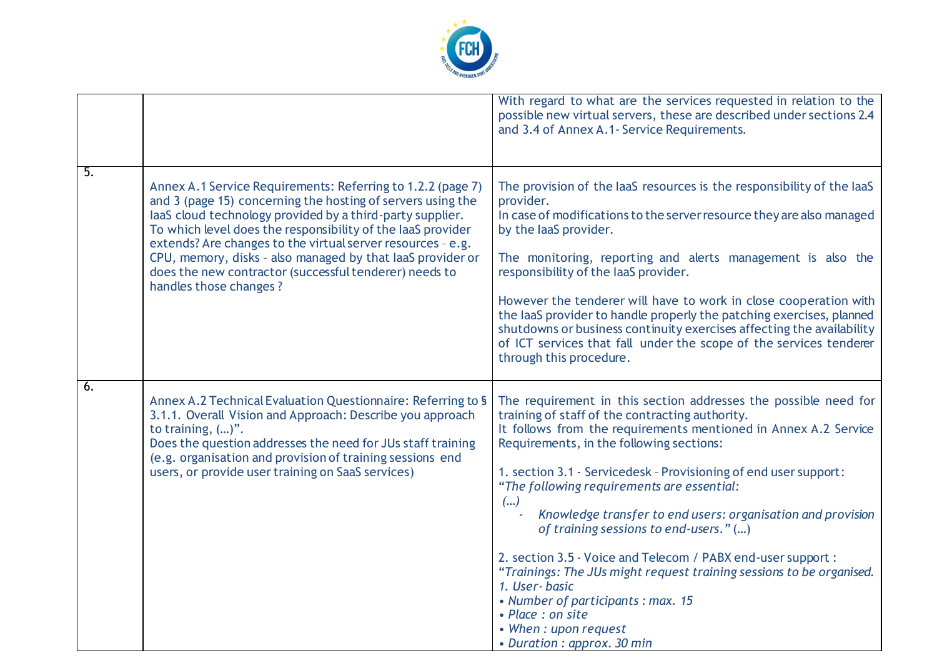

|    |                                                                                                                                                                                                                                                                                                                                                                                                                                                                         | With regard to what are the services requested in relation to the<br>possible new virtual servers, these are described under sections 2.4<br>and 3.4 of Annex A.1- Service Requirements.                                                                                                                                                                                                                                                                                                                                                                                                                                                                                                                                                     |
|----|-------------------------------------------------------------------------------------------------------------------------------------------------------------------------------------------------------------------------------------------------------------------------------------------------------------------------------------------------------------------------------------------------------------------------------------------------------------------------|----------------------------------------------------------------------------------------------------------------------------------------------------------------------------------------------------------------------------------------------------------------------------------------------------------------------------------------------------------------------------------------------------------------------------------------------------------------------------------------------------------------------------------------------------------------------------------------------------------------------------------------------------------------------------------------------------------------------------------------------|
| 5. | Annex A.1 Service Requirements: Referring to 1.2.2 (page 7)<br>and 3 (page 15) concerning the hosting of servers using the<br>laaS cloud technology provided by a third-party supplier.<br>To which level does the responsibility of the laaS provider<br>extends? Are changes to the virtual server resources - e.g.<br>CPU, memory, disks - also managed by that laaS provider or<br>does the new contractor (successful tenderer) needs to<br>handles those changes? | The provision of the laaS resources is the responsibility of the laaS<br>provider.<br>In case of modifications to the server resource they are also managed<br>by the laaS provider.<br>The monitoring, reporting and alerts management is also the<br>responsibility of the laaS provider.<br>However the tenderer will have to work in close cooperation with<br>the laaS provider to handle properly the patching exercises, planned<br>shutdowns or business continuity exercises affecting the availability<br>of ICT services that fall under the scope of the services tenderer<br>through this procedure.                                                                                                                            |
| 6. | Annex A.2 Technical Evaluation Questionnaire: Referring to §<br>3.1.1. Overall Vision and Approach: Describe you approach<br>to training, $()$ ".<br>Does the question addresses the need for JUs staff training<br>(e.g. organisation and provision of training sessions end<br>users, or provide user training on SaaS services)                                                                                                                                      | The requirement in this section addresses the possible need for<br>training of staff of the contracting authority.<br>It follows from the requirements mentioned in Annex A.2 Service<br>Requirements, in the following sections:<br>1. section 3.1 - Servicedesk - Provisioning of end user support:<br>"The following requirements are essential:<br>()<br>Knowledge transfer to end users: organisation and provision<br>of training sessions to end-users." ()<br>2. section 3.5 - Voice and Telecom / PABX end-user support :<br>"Trainings: The JUs might request training sessions to be organised.<br>1. User-basic<br>• Number of participants : max. 15<br>• Place: on site<br>• When: upon request<br>• Duration : approx. 30 min |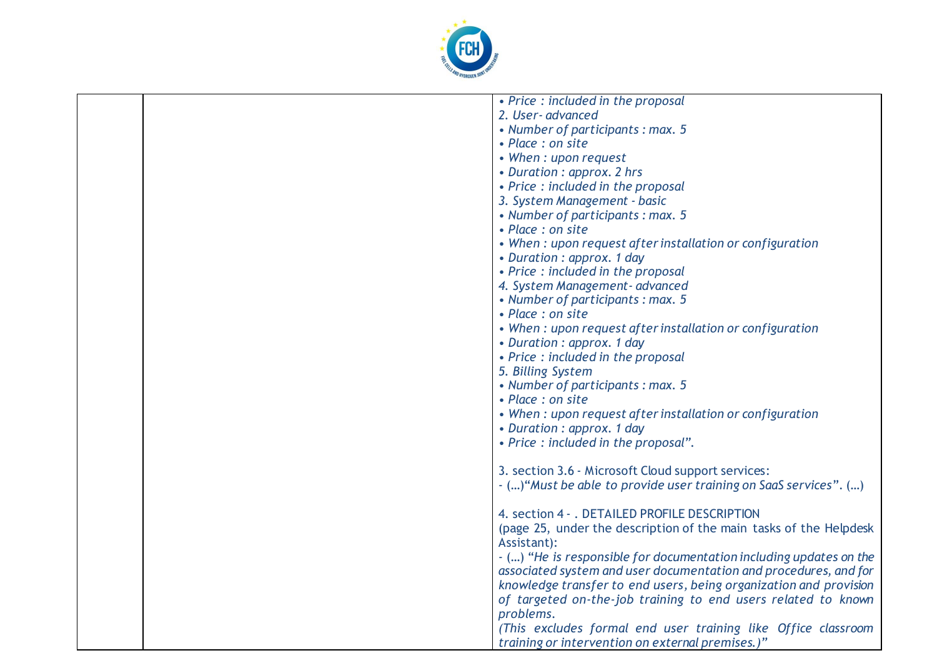

| 2. User-advanced<br>• Number of participants : max. 5<br>• Place : on site<br>• When: upon request<br>• Duration : approx. 2 hrs<br>• Price : included in the proposal<br>3. System Management - basic<br>• Number of participants : max. 5<br>• Place : on site<br>• When : upon request after installation or configuration<br>• Duration : approx. 1 day<br>• Price : included in the proposal<br>4. System Management- advanced<br>• Number of participants : max. 5<br>• Place : on site<br>• When : upon request after installation or configuration<br>• Duration : approx. 1 day<br>• Price: included in the proposal<br>5. Billing System<br>• Number of participants : max. 5<br>• Place : on site<br>• When : upon request after installation or configuration<br>• Duration : approx. 1 day<br>• Price : included in the proposal". |  |                                    |
|-------------------------------------------------------------------------------------------------------------------------------------------------------------------------------------------------------------------------------------------------------------------------------------------------------------------------------------------------------------------------------------------------------------------------------------------------------------------------------------------------------------------------------------------------------------------------------------------------------------------------------------------------------------------------------------------------------------------------------------------------------------------------------------------------------------------------------------------------|--|------------------------------------|
|                                                                                                                                                                                                                                                                                                                                                                                                                                                                                                                                                                                                                                                                                                                                                                                                                                                 |  | • Price : included in the proposal |
|                                                                                                                                                                                                                                                                                                                                                                                                                                                                                                                                                                                                                                                                                                                                                                                                                                                 |  |                                    |
|                                                                                                                                                                                                                                                                                                                                                                                                                                                                                                                                                                                                                                                                                                                                                                                                                                                 |  |                                    |
|                                                                                                                                                                                                                                                                                                                                                                                                                                                                                                                                                                                                                                                                                                                                                                                                                                                 |  |                                    |
|                                                                                                                                                                                                                                                                                                                                                                                                                                                                                                                                                                                                                                                                                                                                                                                                                                                 |  |                                    |
|                                                                                                                                                                                                                                                                                                                                                                                                                                                                                                                                                                                                                                                                                                                                                                                                                                                 |  |                                    |
|                                                                                                                                                                                                                                                                                                                                                                                                                                                                                                                                                                                                                                                                                                                                                                                                                                                 |  |                                    |
|                                                                                                                                                                                                                                                                                                                                                                                                                                                                                                                                                                                                                                                                                                                                                                                                                                                 |  |                                    |
|                                                                                                                                                                                                                                                                                                                                                                                                                                                                                                                                                                                                                                                                                                                                                                                                                                                 |  |                                    |
|                                                                                                                                                                                                                                                                                                                                                                                                                                                                                                                                                                                                                                                                                                                                                                                                                                                 |  |                                    |
|                                                                                                                                                                                                                                                                                                                                                                                                                                                                                                                                                                                                                                                                                                                                                                                                                                                 |  |                                    |
|                                                                                                                                                                                                                                                                                                                                                                                                                                                                                                                                                                                                                                                                                                                                                                                                                                                 |  |                                    |
|                                                                                                                                                                                                                                                                                                                                                                                                                                                                                                                                                                                                                                                                                                                                                                                                                                                 |  |                                    |
|                                                                                                                                                                                                                                                                                                                                                                                                                                                                                                                                                                                                                                                                                                                                                                                                                                                 |  |                                    |
|                                                                                                                                                                                                                                                                                                                                                                                                                                                                                                                                                                                                                                                                                                                                                                                                                                                 |  |                                    |
|                                                                                                                                                                                                                                                                                                                                                                                                                                                                                                                                                                                                                                                                                                                                                                                                                                                 |  |                                    |
|                                                                                                                                                                                                                                                                                                                                                                                                                                                                                                                                                                                                                                                                                                                                                                                                                                                 |  |                                    |
|                                                                                                                                                                                                                                                                                                                                                                                                                                                                                                                                                                                                                                                                                                                                                                                                                                                 |  |                                    |
|                                                                                                                                                                                                                                                                                                                                                                                                                                                                                                                                                                                                                                                                                                                                                                                                                                                 |  |                                    |
|                                                                                                                                                                                                                                                                                                                                                                                                                                                                                                                                                                                                                                                                                                                                                                                                                                                 |  |                                    |
|                                                                                                                                                                                                                                                                                                                                                                                                                                                                                                                                                                                                                                                                                                                                                                                                                                                 |  |                                    |
|                                                                                                                                                                                                                                                                                                                                                                                                                                                                                                                                                                                                                                                                                                                                                                                                                                                 |  |                                    |
|                                                                                                                                                                                                                                                                                                                                                                                                                                                                                                                                                                                                                                                                                                                                                                                                                                                 |  |                                    |
|                                                                                                                                                                                                                                                                                                                                                                                                                                                                                                                                                                                                                                                                                                                                                                                                                                                 |  |                                    |
|                                                                                                                                                                                                                                                                                                                                                                                                                                                                                                                                                                                                                                                                                                                                                                                                                                                 |  |                                    |
|                                                                                                                                                                                                                                                                                                                                                                                                                                                                                                                                                                                                                                                                                                                                                                                                                                                 |  |                                    |
| 3. section 3.6 - Microsoft Cloud support services:                                                                                                                                                                                                                                                                                                                                                                                                                                                                                                                                                                                                                                                                                                                                                                                              |  |                                    |
| - () "Must be able to provide user training on SaaS services". ()                                                                                                                                                                                                                                                                                                                                                                                                                                                                                                                                                                                                                                                                                                                                                                               |  |                                    |
|                                                                                                                                                                                                                                                                                                                                                                                                                                                                                                                                                                                                                                                                                                                                                                                                                                                 |  |                                    |
| 4. section 4 - . DETAILED PROFILE DESCRIPTION                                                                                                                                                                                                                                                                                                                                                                                                                                                                                                                                                                                                                                                                                                                                                                                                   |  |                                    |
| (page 25, under the description of the main tasks of the Helpdesk                                                                                                                                                                                                                                                                                                                                                                                                                                                                                                                                                                                                                                                                                                                                                                               |  |                                    |
| Assistant):                                                                                                                                                                                                                                                                                                                                                                                                                                                                                                                                                                                                                                                                                                                                                                                                                                     |  |                                    |
| - () "He is responsible for documentation including updates on the                                                                                                                                                                                                                                                                                                                                                                                                                                                                                                                                                                                                                                                                                                                                                                              |  |                                    |
| associated system and user documentation and procedures, and for                                                                                                                                                                                                                                                                                                                                                                                                                                                                                                                                                                                                                                                                                                                                                                                |  |                                    |
| knowledge transfer to end users, being organization and provision                                                                                                                                                                                                                                                                                                                                                                                                                                                                                                                                                                                                                                                                                                                                                                               |  |                                    |
| of targeted on-the-job training to end users related to known                                                                                                                                                                                                                                                                                                                                                                                                                                                                                                                                                                                                                                                                                                                                                                                   |  |                                    |
| problems.                                                                                                                                                                                                                                                                                                                                                                                                                                                                                                                                                                                                                                                                                                                                                                                                                                       |  |                                    |
| (This excludes formal end user training like Office classroom                                                                                                                                                                                                                                                                                                                                                                                                                                                                                                                                                                                                                                                                                                                                                                                   |  |                                    |
| training or intervention on external premises.)"                                                                                                                                                                                                                                                                                                                                                                                                                                                                                                                                                                                                                                                                                                                                                                                                |  |                                    |